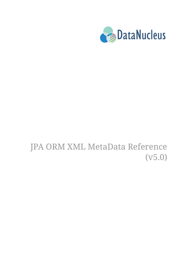

# JPA ORM XML MetaData Reference (v5.0)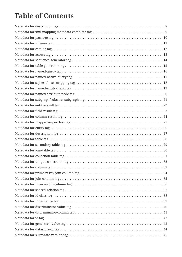### **Table of Contents**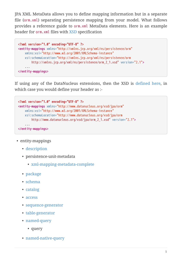JPA XML MetaData allows you to define mapping information but in a separate file (orm.xml) separating persistence mapping from your model. What follows provides a reference guide to orm.xml MetaData elements. Here is an example header for orm.xml files with [XSD](http://xmlns.jcp.org/xml/ns/persistence/orm_2_1.xsd) specification

```
<?xml version="1.0" encoding="UTF-8" ?>
<entity-mappings xmlns="http://xmlns.jcp.org/xml/ns/persistence/orm"
      xmlns:xsi="http://www.w3.org/2001/XMLSchema-instance"
      xsi:schemaLocation="http://xmlns.jcp.org/xml/ns/persistence/orm
          http://xmlns.jcp.org/xml/ns/persistence/orm_2_1.xsd" version="2.1">
      ...
</entity-mappings>
```
If using any of the DataNucleus extensions, then the XSD is [defined here](http://www.datanucleus.org/xsd/jpa/orm_2_1.xsd), in which case you would define your header as :-

```
<?xml version="1.0" encoding="UTF-8" ?>
<entity-mappings xmlns="http://www.datanucleus.org/xsd/jpa/orm"
      xmlns:xsi="http://www.w3.org/2001/XMLSchema-instance"
      xsi:schemaLocation="http://www.datanucleus.org/xsd/jpa/orm
          http://www.datanucleus.org/xsd/jpa/orm_2_1.xsd" version="2.1">
      ...
</entity-mappings>
```
- entity-mappings
	- [description](#description)
	- persistence-unit-metadata
		- [xml-mapping-metadata-complete](#xml-mapping-metadata-complete)
	- [package](#package)
	- [schema](#schema)
	- [catalog](#catalog)
	- [access](#access)
	- [sequence-generator](#sequence-generator)
	- [table-generator](#table-generator)
	- [named-query](#named-query)
		- query
	- [named-native-query](#named-native-query)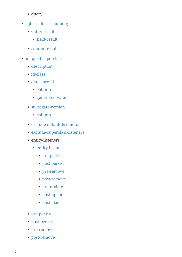- query
- [sql-result-set-mapping](#sql-result-set-mapping)
	- [entity-result](#entity-result)
		- [field-result](#field-result)
	- [column-result](#column-result)
- [mapped-superclass](#mapped-superclass)
	- [description](#entity-description)
	- [id-class](#id-class)
	- [datastore-id](#datastore-id)
		- [column](#column)
		- [generated-value](#generated-value)
	- [surrogate-version](#surrogate-version)
		- [column](#column)
	- [exclude-default-listeners](#exclude-default-listeners)
	- [exclude-superclass-listeners](#exclude-superclass-listeners)
	- entity-listeners
		- [entity-listener](#entity-listener)
			- [pre-persist](#pre-persist)
			-
			- [post-persist](#post-persist)
			- [pre-remove](#pre-remove)
			- [post-remove](#post-remove)
			- [pre-update](#pre-update)
			- [post-update](#post-update)
			- [post-load](#post-load)
	- [pre-persist](#pre-persist)
	- [post-persist](#post-persist)
	- [pre-remove](#pre-remove)
	- [post-remove](#post-remove)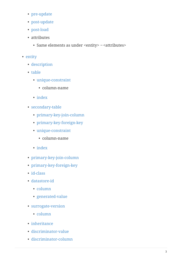- [pre-update](#pre-update)
- [post-update](#post-update)
- [post-load](#post-load)
- attributes
	- Same elements as under <entity>→<attributes>
- [entity](#entity)
	- [description](#entity-description)
	- [table](#table)
		- [unique-constraint](#unique-constraint)
			- column-name
		- [index](#index)
	- [secondary-table](#secondary-table)
		- [primary-key-join-column](#primary-key-join-column)
		- [primary-key-foreign-key](#foreign-key)
		- [unique-constraint](#unique-constraint)
			- column-name
		- [index](#index)
	- [primary-key-join-column](#primary-key-join-column)
	- [primary-key-foreign-key](#foreign-key)
	- [id-class](#id-class)
	- [datastore-id](#datastore-id)
		- [column](#column)
		- [generated-value](#generated-value)
	- [surrogate-version](#surrogate-version)
		- [column](#column)
	- [inheritance](#inheritance)
	- [discriminator-value](#discriminator-value)
	- [discriminator-column](#discriminator-column)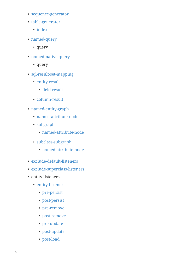- [sequence-generator](#sequence-generator)
- [table-generator](#table-generator)
	- [index](#index)
- [named-query](#named-query)
	- query
- [named-native-query](#named-native-query)
	- query
- [sql-result-set-mapping](#sql-result-set-mapping)
	- [entity-result](#entity-result)
		- [field-result](#field-result)
	- [column-result](#column-result)
- [named-entity-graph](#named-entity-graph)
	- [named-attribute-node](#named-attribute-node)
	- [subgraph](#named-subgraph)
		- [named-attribute-node](#named-attribute-node)
	- [subclass-subgraph](#named-subgraph)
		- [named-attribute-node](#named-attribute-node)
- [exclude-default-listeners](#exclude-default-listeners)
- [exclude-superclass-listeners](#exclude-superclass-listeners)
- entity-listeners
	- [entity-listener](#entity-listener)
		- [pre-persist](#pre-persist)
		- [post-persist](#post-persist)
		- [pre-remove](#pre-remove)
		- [post-remove](#post-remove)
		- [pre-update](#pre-update)
		- [post-update](#post-update)
		- [post-load](#post-load)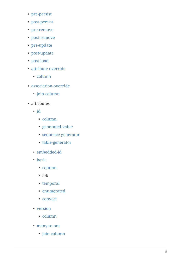- [pre-persist](#pre-persist)
- [post-persist](#post-persist)
- [pre-remove](#pre-remove)
- [post-remove](#post-remove)
- [pre-update](#pre-update)
- [post-update](#post-update)
- [post-load](#post-load)
- [attribute-override](#attribute-override)
	- [column](#column)
- [association-override](#association-override)
	- [join-column](#join-column)
- attributes
	-
	- [id](#id)<br>• [column](#column)
		-
		- [generated-value](#generated-value)
		- [sequence-generator](#sequence-generator)
		- [table-generator](#table-generator)
	- [embedded-id](#embedded-id)
	- [basic](#basic)
		- [column](#column)
		- lob
		- [temporal](#temporal)
		- [enumerated](#enumerated)
		- [convert](#convert)
	- [version](#version)
		- [column](#column)
	- [many-to-one](#many-to-one)
		- [join-column](#join-column)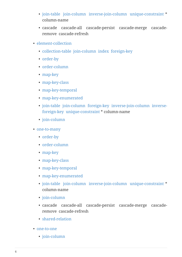- [join-table](#join-table) [join-column](#join-column) [inverse-join-column](#inverse-join-column) [unique-constraint](#unique-constraint) \* column-name
- cascade cascade-all cascade-persist cascade-merge cascaderemove cascade-refresh
- [element-collection](#element-collection)
	- [collection-table](#collection-table) [join-column](#join-column) [index](#index) [foreign-key](#foreign-key)
	- [order-by](#order-by)
	- [order-column](#order-column)
	- [map-key](#map-key)
	- [map-key-class](#map-key-class)
	- [map-key-temporal](#map-key-temporal)
	- [map-key-enumerated](#map-key-enumerated)
	- [join-table](#join-table) [join-column](#join-column) [foreign-key](#foreign-key) [inverse-join-column](#inverse-join-column) [inverse](#foreign-key)[foreign-key](#foreign-key) [unique-constraint](#unique-constraint) \* column-name
	- [join-column](#join-column)
- [one-to-many](#one-to-many)
	- [order-by](#order-by)
	- [order-column](#order-column)
	- [map-key](#map-key)
	- [map-key-class](#map-key-class)
	- [map-key-temporal](#map-key-temporal)
	- [map-key-enumerated](#map-key-enumerated)
	- [join-table](#join-table) [join-column](#join-column) [inverse-join-column](#inverse-join-column) [unique-constraint](#unique-constraint) \* column-name
	- [join-column](#join-column)
	- cascade cascade-all cascade-persist cascade-merge cascaderemove cascade-refresh
	- [shared-relation](#shared-relation)
- [one-to-one](#one-to-one)
	- [join-column](#join-column)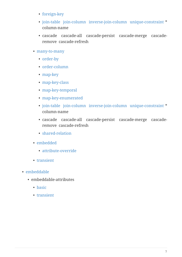- [foreign-key](#foreign-key)
- [join-table](#join-table) [join-column](#join-column) [inverse-join-column](#inverse-join-column) [unique-constraint](#unique-constraint) \* column-name
- cascade cascade-all cascade-persist cascade-merge cascaderemove cascade-refresh
- [many-to-many](#many-to-many)
	- [order-by](#order-by)
	- [order-column](#order-column)
	- [map-key](#map-key)
	- [map-key-class](#map-key-class)
	- [map-key-temporal](#map-key-temporal)
	- [map-key-enumerated](#map-key-enumerated)
	- [join-table](#join-table) [join-column](#join-column) [inverse-join-column](#inverse-join-column) [unique-constraint](#unique-constraint) \* column-name
	- cascade cascade-all cascade-persist cascade-merge cascaderemove cascade-refresh
	- [shared-relation](#shared-relation)
- [embedded](#embedded)
	- [attribute-override](#attribute-override)
- [transient](#transient)
- [embeddable](#embeddable)
	- embeddable-attributes
		- [basic](#basic)
		- [transient](#transient)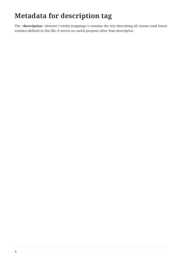## <span id="page-10-0"></span>**Metadata for description tag**

The **<description>** element (<entity-mappings>) contains the text describing all classes (and hence entities) defined in this file. It serves no useful purpose other than descriptive.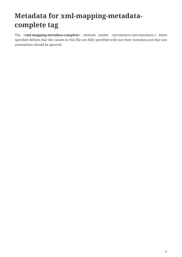### <span id="page-11-0"></span>**Metadata for xml-mapping-metadatacomplete tag**

The **<xml-mapping-metadata-complete>** element (under <persistence-unit-metadata>) when specified defines that the classes in this file are fully specified with just their metadata and that any annotations should be ignored.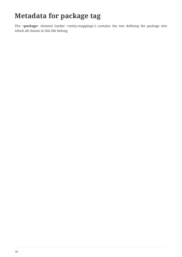### <span id="page-12-0"></span>**Metadata for package tag**

The **<package>** element (under <entity-mappings>) contains the text defining the package into which all classes in this file belong.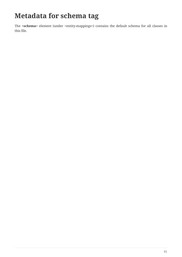### <span id="page-13-0"></span>**Metadata for schema tag**

The **<schema>** element (under <entity-mappings>) contains the default schema for all classes in this file.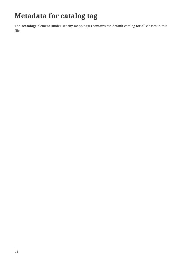### <span id="page-14-0"></span>**Metadata for catalog tag**

The **<catalog>** element (under <entity-mappings>) contains the default catalog for all classes in this file.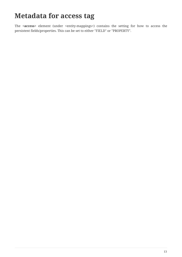#### <span id="page-15-0"></span>**Metadata for access tag**

The **<access>** element (under **<entity-mappings>**) contains the setting for how to access the persistent fields/properties. This can be set to either "FIELD" or "PROPERTY".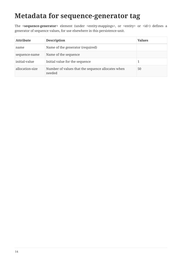#### <span id="page-16-0"></span>**Metadata for sequence-generator tag**

The **<sequence-generator**> element (under <entity-mappings>, or <entity> or <id>) defines a generator of sequence values, for use elsewhere in this persistence-unit.

| <b>Attribute</b> | <b>Description</b>                                          | <b>Values</b> |
|------------------|-------------------------------------------------------------|---------------|
| name             | Name of the generator (required)                            |               |
| sequence-name    | Name of the sequence                                        |               |
| initial-value    | Initial value for the sequence                              |               |
| allocation-size  | Number of values that the sequence allocates when<br>needed | 50            |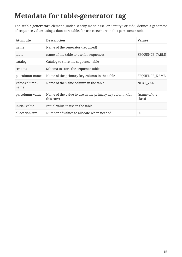#### <span id="page-17-0"></span>**Metadata for table-generator tag**

The **<table-generator>** element (under <entity-mappings>, or <entity> or <id>) defines a generator of sequence values using a datastore table, for use elsewhere in this persistence-unit.

| <b>Attribute</b>      | <b>Description</b>                                                   | <b>Values</b>           |
|-----------------------|----------------------------------------------------------------------|-------------------------|
| name                  | Name of the generator (required)                                     |                         |
| table                 | name of the table to use for sequences                               | SEQUENCE_TABLE          |
| catalog               | Catalog to store the sequence table                                  |                         |
| schema                | Schema to store the sequence table                                   |                         |
| pk-column-name        | Name of the primary-key column in the table                          | SEQUENCE_NAME           |
| value-column-<br>name | Name of the value column in the table                                | NEXT VAL                |
| pk-column-value       | Name of the value to use in the primary key column (for<br>this row) | {name of the<br>class } |
| initial-value         | Initial value to use in the table                                    | $\theta$                |
| allocation-size       | Number of values to allocate when needed                             | 50                      |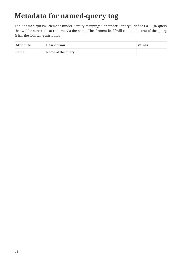### <span id="page-18-0"></span>**Metadata for named-query tag**

The <named-query> element (under <entity-mappings> or under <entity>) defines a JPQL query that will be accessible at runtime via the name. The element itself will contain the text of the query. It has the following attributes

| <b>Attribute</b> | <b>Description</b> | <b>Values</b> |
|------------------|--------------------|---------------|
| name             | Name of the query  |               |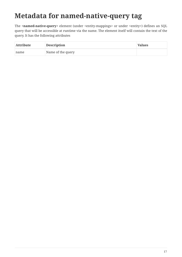### <span id="page-19-0"></span>**Metadata for named-native-query tag**

The <named-native-query> element (under <entity-mappings> or under <entity>) defines an SQL query that will be accessible at runtime via the name. The element itself will contain the text of the query. It has the following attributes

| <b>Attribute</b> | <b>Description</b> | <b>Values</b> |
|------------------|--------------------|---------------|
| name             | Name of the query  |               |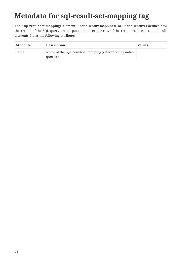### <span id="page-20-0"></span>**Metadata for sql-result-set-mapping tag**

The **<sql-result-set-mapping>** element (under <entity-mappings> or under <entity>) defines how the results of the SQL query are output to the user per row of the result set. It will contain subelements. It has the following attributes

| <b>Attribute</b> | <b>Description</b>                                                   | <b>Values</b> |
|------------------|----------------------------------------------------------------------|---------------|
| name             | Name of the SQL result-set mapping (referenced by native<br>queries) |               |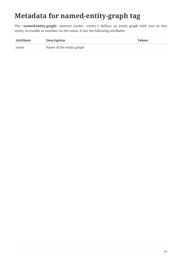## <span id="page-21-0"></span>**Metadata for named-entity-graph tag**

The **<named-entity-graph>** element (under <entity>) defines an entity graph with root as that entity, accessible at runtime via the name. It has the following attributes

| <b>Attribute</b> | <b>Description</b>       | <b>Values</b> |
|------------------|--------------------------|---------------|
| name             | Name of the entity graph |               |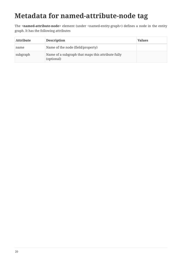## <span id="page-22-0"></span>**Metadata for named-attribute-node tag**

The <named-attribute-node> element (under <named-entity-graph>) defines a node in the entity graph. It has the following attributes

| <b>Attribute</b> | <b>Description</b>                                              | <b>Values</b> |
|------------------|-----------------------------------------------------------------|---------------|
| name             | Name of the node (field/property)                               |               |
| subgraph         | Name of a subgraph that maps this attribute fully<br>(optional) |               |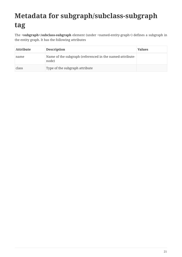## <span id="page-23-0"></span>**Metadata for subgraph/subclass-subgraph tag**

The **<subgraph>**/**subclass-subgraph** element (under <named-entity-graph>) defines a subgraph in the entity graph. It has the following attributes

| <b>Attribute</b> | <b>Description</b>                                                | <b>Values</b> |
|------------------|-------------------------------------------------------------------|---------------|
| name             | Name of the subgraph (referenced in the named-attribute-<br>node) |               |
| class            | Type of the subgraph attribute                                    |               |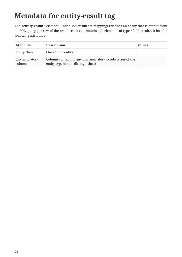### <span id="page-24-0"></span>**Metadata for entity-result tag**

The **<entity-result>** element (under <sql-result-set-mapping>) defines an entity that is output from an SQL query per row of the result set. It can contain sub-elements of type <field-result>. It has the following attributes

| <b>Attribute</b>         | <b>Description</b>                                                                             | <b>Values</b> |
|--------------------------|------------------------------------------------------------------------------------------------|---------------|
| entity-class             | Class of the entity                                                                            |               |
| discriminator-<br>column | Column containing any discriminator (so subclasses of the<br>entity type can be distinguished) |               |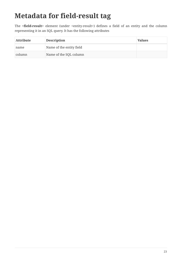## <span id="page-25-0"></span>**Metadata for field-result tag**

The **<field-result>** element (under <entity-result>) defines a field of an entity and the column representing it in an SQL query. It has the following attributes

| <b>Attribute</b> | <b>Description</b>       | <b>Values</b> |
|------------------|--------------------------|---------------|
| name             | Name of the entity field |               |
| column           | Name of the SQL column   |               |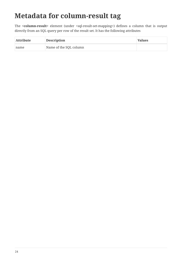### <span id="page-26-0"></span>**Metadata for column-result tag**

The **<column-result>** element (under <sql-result-set-mapping>) defines a column that is output directly from an SQL query per row of the result set. It has the following attributes

| <b>Attribute</b> | <b>Description</b>     | <b>Values</b> |
|------------------|------------------------|---------------|
| name             | Name of the SQL column |               |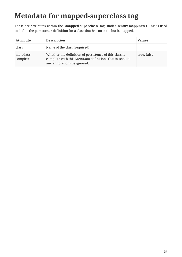## <span id="page-27-0"></span>**Metadata for mapped-superclass tag**

These are attributes within the **<mapped-superclass>** tag (under <entity-mappings>). This is used to define the persistence definition for a class that has no table but is mapped.

| <b>Attribute</b>      | <b>Description</b>                                                                                                                               | <b>Values</b> |
|-----------------------|--------------------------------------------------------------------------------------------------------------------------------------------------|---------------|
| class                 | Name of the class (required)                                                                                                                     |               |
| metadata-<br>complete | Whether the definition of persistence of this class is<br>complete with this MetaData definition. That is, should<br>any annotations be ignored. | true, false   |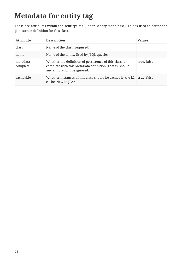## <span id="page-28-0"></span>**Metadata for entity tag**

These are attributes within the **<entity>** tag (under <entity-mappings>). This is used to define the persistence definition for this class.

| <b>Attribute</b>      | <b>Description</b>                                                                                                                               | <b>Values</b> |
|-----------------------|--------------------------------------------------------------------------------------------------------------------------------------------------|---------------|
| class                 | Name of the class (required)                                                                                                                     |               |
| name                  | Name of the entity. Used by JPQL queries                                                                                                         |               |
| metadata-<br>complete | Whether the definition of persistence of this class is<br>complete with this MetaData definition. That is, should<br>any annotations be ignored. | true, false   |
| cacheable             | Whether instances of this class should be cached in the L2<br>cache. New in JPA2                                                                 | true, false   |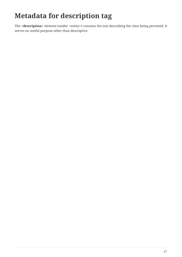## <span id="page-29-0"></span>**Metadata for description tag**

The **<description>** element (under <entity>) contains the text describing the class being persisted. It serves no useful purpose other than descriptive.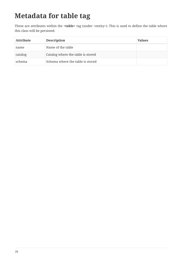## <span id="page-30-0"></span>**Metadata for table tag**

These are attributes within the **<table>** tag (under <entity>). This is used to define the table where this class will be persisted.

| <b>Attribute</b> | <b>Description</b>                | <b>Values</b> |
|------------------|-----------------------------------|---------------|
| name             | Name of the table                 |               |
| catalog          | Catalog where the table is stored |               |
| schema           | Schema where the table is stored  |               |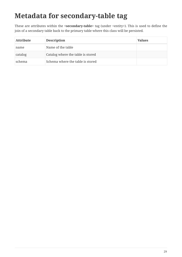### <span id="page-31-0"></span>**Metadata for secondary-table tag**

These are attributes within the **<secondary-table>** tag (under <entity>). This is used to define the join of a secondary table back to the primary table where this class will be persisted.

| <b>Attribute</b> | <b>Description</b>                | <b>Values</b> |
|------------------|-----------------------------------|---------------|
| name             | Name of the table                 |               |
| catalog          | Catalog where the table is stored |               |
| schema           | Schema where the table is stored  |               |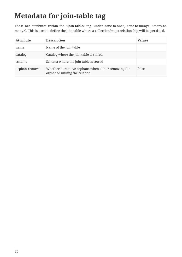## <span id="page-32-0"></span>**Metadata for join-table tag**

These are attributes within the **<join-table>** tag (under <one-to-one>, <one-to-many>, <many-tomany>). This is used to define the join table where a collection/maps relationship will be persisted.

| <b>Attribute</b> | <b>Description</b>                                                                  | <b>Values</b> |
|------------------|-------------------------------------------------------------------------------------|---------------|
| name             | Name of the join table                                                              |               |
| catalog          | Catalog where the join table is stored                                              |               |
| schema           | Schema where the join table is stored                                               |               |
| orphan-removal   | Whether to remove orphans when either removing the<br>owner or nulling the relation | false         |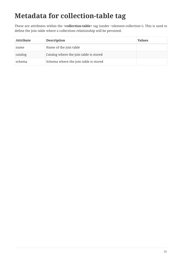## <span id="page-33-0"></span>**Metadata for collection-table tag**

These are attributes within the **<collection-table>** tag (under <element-collection>). This is used to define the join table where a collections relationship will be persisted.

| <b>Attribute</b> | <b>Description</b>                     | <b>Values</b> |
|------------------|----------------------------------------|---------------|
| name             | Name of the join table                 |               |
| catalog          | Catalog where the join table is stored |               |
| schema           | Schema where the join table is stored  |               |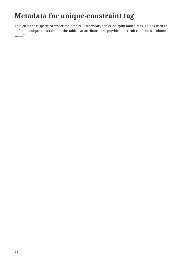### <span id="page-34-0"></span>**Metadata for unique-constraint tag**

This element is specified under the <table>, <secondary-table> or <join-table> tags. This is used to define a unique constraint on the table. No attributes are provided, just sub-element(s) "columnname"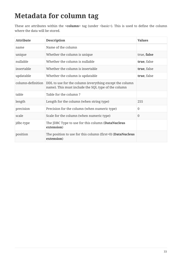## <span id="page-35-0"></span>**Metadata for column tag**

These are attributes within the <column> tag (under <br/>basic>). This is used to define the column where the data will be stored.

| <b>Attribute</b>  | <b>Description</b>                                                                                             | <b>Values</b>  |
|-------------------|----------------------------------------------------------------------------------------------------------------|----------------|
| name              | Name of the column                                                                                             |                |
| unique            | Whether the column is unique                                                                                   | true, false    |
| nullable          | Whether the column is nullable                                                                                 | true, false    |
| insertable        | Whether the column is insertable                                                                               | true, false    |
| updatable         | Whether the column is updatable                                                                                | true, false    |
| column-definition | DDL to use for the column (everything except the column<br>name). This must include the SQL type of the column |                |
| table             | Table for the column?                                                                                          |                |
| length            | Length for the column (when string type)                                                                       | 255            |
| precision         | Precision for the column (when numeric type)                                                                   | $\theta$       |
| scale             | Scale for the column (when numeric type)                                                                       | $\overline{0}$ |
| jdbc-type         | The JDBC Type to use for this column (DataNucleus<br>extension)                                                |                |
| position          | The position to use for this column (first=0) (DataNucleus<br>extension)                                       |                |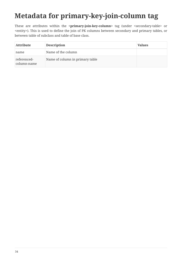# **Metadata for primary-key-join-column tag**

These are attributes within the **<primary-join-key-column>** tag (under **<secondary-table>** or <entity>). This is used to define the join of PK columns between secondary and primary tables, or between table of subclass and table of base class.

| <b>Attribute</b>           | <b>Description</b>              | <b>Values</b> |
|----------------------------|---------------------------------|---------------|
| name                       | Name of the column              |               |
| referenced-<br>column-name | Name of column in primary table |               |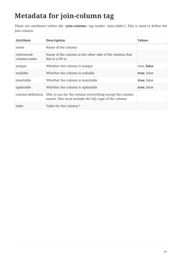# **Metadata for join-column tag**

These are attributes within the **<join-column>** tag (under <join-table>). This is used to define the join column.

| <b>Attribute</b>           | <b>Description</b>                                                                                             | <b>Values</b> |
|----------------------------|----------------------------------------------------------------------------------------------------------------|---------------|
| name                       | Name of the column                                                                                             |               |
| referenced-<br>column-name | Name of the column at the other side of the relation that<br>this is a FK to                                   |               |
| unique                     | Whether the column is unique                                                                                   | true, false   |
| nullable                   | Whether the column is nullable                                                                                 | true, false   |
| insertable                 | Whether the column is insertable                                                                               | true, false   |
| updatable                  | Whether the column is updatable                                                                                | true, false   |
| column-definition          | DDL to use for the column (everything except the column<br>name). This must include the SQL type of the column |               |
| table                      | Table for the column?                                                                                          |               |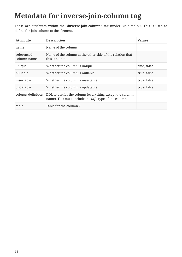# **Metadata for inverse-join-column tag**

These are attributes within the **<inverse-join-column>** tag (under <join-table>). This is used to define the join column to the element.

| <b>Attribute</b>           | <b>Description</b>                                                                                             | <b>Values</b> |
|----------------------------|----------------------------------------------------------------------------------------------------------------|---------------|
| name                       | Name of the column                                                                                             |               |
| referenced-<br>column-name | Name of the column at the other side of the relation that<br>this is a FK to                                   |               |
| unique                     | Whether the column is unique                                                                                   | true, false   |
| nullable                   | Whether the column is nullable                                                                                 | true, false   |
| insertable                 | Whether the column is insertable                                                                               | true, false   |
| updatable                  | Whether the column is updatable                                                                                | true, false   |
| column-definition          | DDL to use for the column (everything except the column<br>name). This must include the SQL type of the column |               |
| table                      | Table for the column?                                                                                          |               |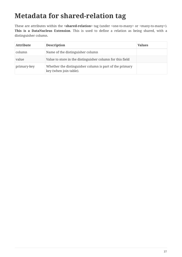### **Metadata for shared-relation tag**

These are attributes within the **<shared-relation>** tag (under <one-to-many> or <many-to-many>). **This is a DataNucleus Extension**. This is used to define a relation as being shared, with a distinguisher column.

| <b>Attribute</b> | <b>Description</b>                                                                | <b>Values</b> |
|------------------|-----------------------------------------------------------------------------------|---------------|
| column           | Name of the distinguisher column                                                  |               |
| value            | Value to store in the distinguisher column for this field                         |               |
| primary-key      | Whether the distinguisher column is part of the primary<br>key (when join table). |               |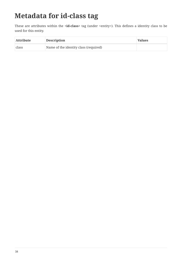# **Metadata for id-class tag**

These are attributes within the **<id-class>** tag (under <entity>). This defines a identity class to be used for this entity.

| <b>Attribute</b> | <b>Description</b>                    | <b>Values</b> |
|------------------|---------------------------------------|---------------|
| class            | Name of the identity class (required) |               |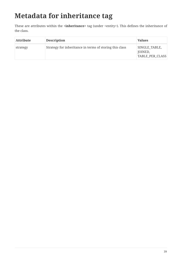# **Metadata for inheritance tag**

These are attributes within the **<inheritance>** tag (under <entity>). This defines the inheritance of the class.

| <b>Attribute</b> | <b>Description</b>                                      | <b>Values</b>                               |
|------------------|---------------------------------------------------------|---------------------------------------------|
| strategy         | Strategy for inheritance in terms of storing this class | SINGLE TABLE,<br>JOINED,<br>TABLE PER CLASS |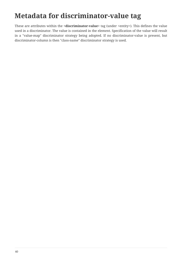# **Metadata for discriminator-value tag**

These are attributes within the **<discriminator-value>** tag (under <entity>). This defines the value used in a discriminator. The value is contained in the element. Specification of the value will result in a "value-map" discriminator strategy being adopted. If no discriminator-value is present, but discriminator-column is then "class-name" discriminator strategy is used.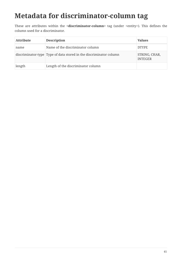## **Metadata for discriminator-column tag**

These are attributes within the **<discriminator-column>** tag (under <entity>). This defines the column used for a discriminator.

| <b>Attribute</b> | <b>Description</b>                                                 | <b>Values</b>                   |
|------------------|--------------------------------------------------------------------|---------------------------------|
| name             | Name of the discriminator column                                   | <b>DTYPE</b>                    |
|                  | discriminator-type Type of data stored in the discriminator column | STRING, CHAR,<br><b>INTEGER</b> |
| length           | Length of the discriminator column                                 |                                 |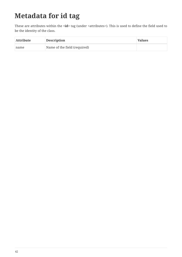# **Metadata for id tag**

These are attributes within the <id> tag (under <attributes>). This is used to define the field used to be the identity of the class.

| <b>Attribute</b> | <b>Description</b>           | <b>Values</b> |
|------------------|------------------------------|---------------|
| name             | Name of the field (required) |               |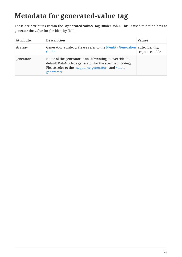## **Metadata for generated-value tag**

These are attributes within the **<generated-value>** tag (under <id>). This is used to define how to generate the value for the identity field.

| <b>Attribute</b> | <b>Description</b>                                                                                                                                                                                                             | <b>Values</b>   |
|------------------|--------------------------------------------------------------------------------------------------------------------------------------------------------------------------------------------------------------------------------|-----------------|
| strategy         | Generation strategy. Please refer to the Identity Generation <b>auto</b> , identity,<br>Guide                                                                                                                                  | sequence, table |
| generator        | Name of the generator to use if wanting to override the<br>default DataNucleus generator for the specified strategy.<br>Please refer to the <sequence-generator> and <table-<br>generator&gt;</table-<br></sequence-generator> |                 |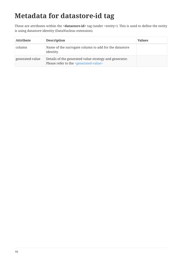# **Metadata for datastore-id tag**

These are attributes within the **<datastore-id>** tag (under <entity>). This is used to define the entity is using datastore identity (DataNucleus extension).

| Attribute       | <b>Description</b>                                                                                                | <b>Values</b> |
|-----------------|-------------------------------------------------------------------------------------------------------------------|---------------|
| column          | Name of the surrogate column to add for the datastore<br>identity.                                                |               |
| generated-value | Details of the generated value strategy and generator.<br>Please refer to the <generated-value></generated-value> |               |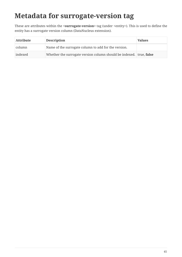### **Metadata for surrogate-version tag**

These are attributes within the **<surrogate-version>** tag (under <entity>). This is used to define the entity has a surrogate version column (DataNucleus extension).

| <b>Attribute</b> | <b>Description</b>                                                  | <b>Values</b> |
|------------------|---------------------------------------------------------------------|---------------|
| column           | Name of the surrogate column to add for the version.                |               |
| indexed          | Whether the surrogate version column should be indexed. true, false |               |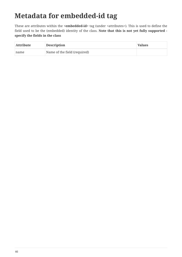## **Metadata for embedded-id tag**

These are attributes within the **<embedded-id>** tag (under <attributes>). This is used to define the field used to be the (embedded) identity of the class. **Note that this is not yet fully supported specify the fields in the class**

| <b>Attribute</b> | <b>Description</b>           | <b>Values</b> |
|------------------|------------------------------|---------------|
| name             | Name of the field (required) |               |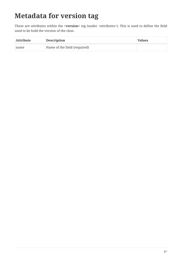# **Metadata for version tag**

These are attributes within the **<version>** tag (under <attributes>). This is used to define the field used to be hold the version of the class.

| <b>Attribute</b> | <b>Description</b>           | <b>Values</b> |
|------------------|------------------------------|---------------|
| name             | Name of the field (required) |               |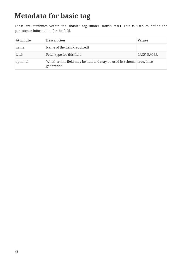### **Metadata for basic tag**

These are attributes within the **<basic>** tag (under <attributes>). This is used to define the persistence information for the field.

| <b>Attribute</b> | <b>Description</b>                                                                 | <b>Values</b> |
|------------------|------------------------------------------------------------------------------------|---------------|
| name             | Name of the field (required)                                                       |               |
| fetch            | Fetch type for this field                                                          | LAZY, EAGER   |
| optional         | Whether this field may be null and may be used in schema true, false<br>generation |               |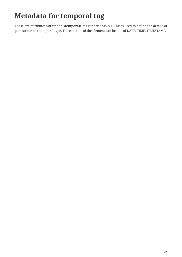# **Metadata for temporal tag**

These are attributes within the **<temporal>** tag (under <basic>). This is used to define the details of persistence as a temporal type. The contents of the element can be one of DATE, TIME, TIMESTAMP.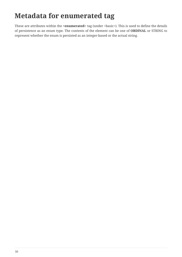# **Metadata for enumerated tag**

These are attributes within the **<enumerated>** tag (under <basic>). This is used to define the details of persistence as an enum type. The contents of the element can be one of **ORDINAL** or STRING to represent whether the enum is persisted as an integer-based or the actual string.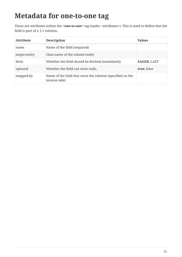#### **Metadata for one-to-one tag**

These are attributes within the **<one-to-one>** tag (under <attributes>). This is used to define that the field is part of a 1-1 relation.

| <b>Attribute</b> | <b>Description</b>                                                          | <b>Values</b>      |
|------------------|-----------------------------------------------------------------------------|--------------------|
| name             | Name of the field (required)                                                |                    |
| target-entity    | Class name of the related entity                                            |                    |
| fetch            | Whether the field should be fetched immediately                             | <b>EAGER, LAZY</b> |
| optional         | Whether the field can store nulls.                                          | true, false        |
| mapped-by        | Name of the field that owns the relation (specified on the<br>inverse side) |                    |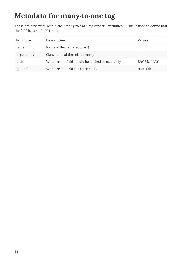#### **Metadata for many-to-one tag**

These are attributes within the **<many-to-one>** tag (under <attributes>). This is used to define that the field is part of a N-1 relation.

| <b>Attribute</b> | <b>Description</b>                              | <b>Values</b>      |
|------------------|-------------------------------------------------|--------------------|
| name             | Name of the field (required)                    |                    |
| target-entity    | Class name of the related entity                |                    |
| fetch            | Whether the field should be fetched immediately | <b>EAGER, LAZY</b> |
| optional         | Whether the field can store nulls.              | true, false        |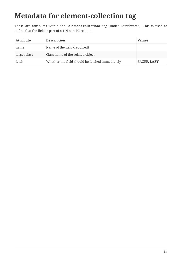### **Metadata for element-collection tag**

These are attributes within the **<element-collection>** tag (under <attributes>). This is used to define that the field is part of a 1-N non-PC relation.

| <b>Attribute</b> | <b>Description</b>                              | <b>Values</b>      |
|------------------|-------------------------------------------------|--------------------|
| name             | Name of the field (required)                    |                    |
| target-class     | Class name of the related object                |                    |
| fetch            | Whether the field should be fetched immediately | <b>EAGER, LAZY</b> |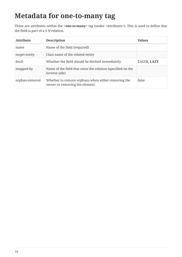#### **Metadata for one-to-many tag**

These are attributes within the **<one-to-many>** tag (under <attributes>). This is used to define that the field is part of a 1-N relation.

| <b>Attribute</b> | <b>Description</b>                                                                  | <b>Values</b> |
|------------------|-------------------------------------------------------------------------------------|---------------|
| name             | Name of the field (required)                                                        |               |
| target-entity    | Class name of the related entity                                                    |               |
| fetch            | Whether the field should be fetched immediately                                     | EAGER, LAZY   |
| mapped-by        | Name of the field that owns the relation (specified on the<br>inverse side)         |               |
| orphan-removal   | Whether to remove orphans when either removing the<br>owner or removing the element | false         |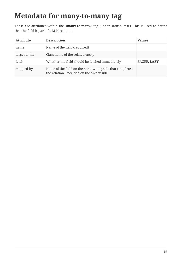#### **Metadata for many-to-many tag**

These are attributes within the **<many-to-many>** tag (under <attributes>). This is used to define that the field is part of a M-N relation.

| <b>Attribute</b> | <b>Description</b>                                                                                   | <b>Values</b>      |
|------------------|------------------------------------------------------------------------------------------------------|--------------------|
| name             | Name of the field (required)                                                                         |                    |
| target-entity    | Class name of the related entity                                                                     |                    |
| fetch            | Whether the field should be fetched immediately                                                      | <b>EAGER, LAZY</b> |
| mapped-by        | Name of the field on the non-owning side that completes<br>the relation. Specified on the owner side |                    |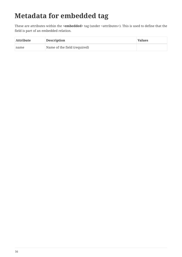# **Metadata for embedded tag**

These are attributes within the **<embedded>** tag (under <attributes>). This is used to define that the field is part of an embedded relation.

| <b>Attribute</b> | <b>Description</b>           | <b>Values</b> |
|------------------|------------------------------|---------------|
| name             | Name of the field (required) |               |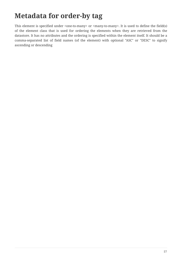### **Metadata for order-by tag**

This element is specified under  $\langle$ one-to-many $\rangle$  or  $\langle$ many-to-many $\rangle$ . It is used to define the field(s) of the element class that is used for ordering the elements when they are retrieved from the datastore. It has no attributes and the ordering is specified within the element itself. It should be a comma-separated list of field names (of the element) with optional "ASC" or "DESC" to signify ascending or descending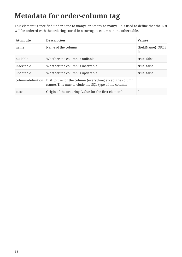# **Metadata for order-column tag**

This element is specified under <one-to-many> or <many-to-many>. It is used to define that the List will be ordered with the ordering stored in a surrogate column in the other table.

| <b>Attribute</b>  | <b>Description</b>                                                                                             | <b>Values</b>         |
|-------------------|----------------------------------------------------------------------------------------------------------------|-----------------------|
| name              | Name of the column                                                                                             | {fieldName} ORDE<br>R |
| nullable          | Whether the column is nullable                                                                                 | true, false           |
| insertable        | Whether the column is insertable                                                                               | true, false           |
| updatable         | Whether the column is updatable                                                                                | true, false           |
| column-definition | DDL to use for the column (everything except the column<br>name). This must include the SQL type of the column |                       |
| base              | Origin of the ordering (value for the first element)                                                           | 0                     |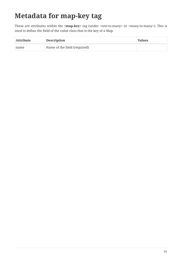# **Metadata for map-key tag**

These are attributes within the **<map-key>** tag (under <one-to-many> or <many-to-many>). This is used to define the field of the value class that is the key of a Map.

| <b>Attribute</b> | <b>Description</b>           | <b>Values</b> |
|------------------|------------------------------|---------------|
| name             | Name of the field (required) |               |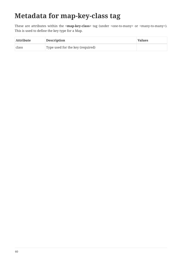### **Metadata for map-key-class tag**

These are attributes within the <**map-key-class**> tag (under <one-to-many> or <many-to-many>). This is used to define the key type for a Map.

| <b>Attribute</b> | <b>Description</b>               | <b>Values</b> |
|------------------|----------------------------------|---------------|
| class            | Type used for the key (required) |               |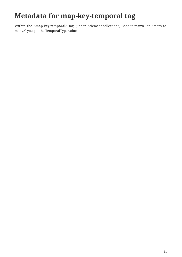### **Metadata for map-key-temporal tag**

Within the **<map-key-temporal>** tag (under <element-collection>, <one-to-many> or <many-tomany>) you put the TemporalType value.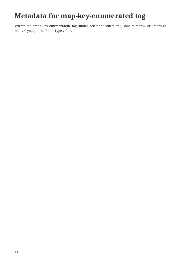### **Metadata for map-key-enumerated tag**

Within the <**map-key-enumerated**> tag (under <element-collection>, <one-to-many> or <many-tomany>) you put the EnumType value.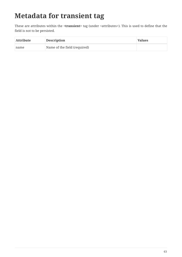# **Metadata for transient tag**

These are attributes within the **<transient>** tag (under <attributes>). This is used to define that the field is not to be persisted.

| <b>Attribute</b> | <b>Description</b>           | <b>Values</b> |
|------------------|------------------------------|---------------|
| name             | Name of the field (required) |               |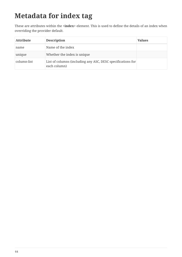# **Metadata for index tag**

These are attributes within the **<index>** element. This is used to define the details of an index when overriding the provider default.

| <b>Attribute</b> | <b>Description</b>                                                          | <b>Values</b> |
|------------------|-----------------------------------------------------------------------------|---------------|
| name             | Name of the index                                                           |               |
| unique           | Whether the index is unique                                                 |               |
| column-list      | List of columns (including any ASC, DESC specifications for<br>each column) |               |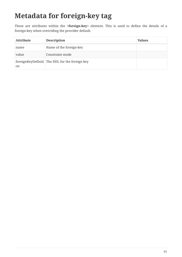# **Metadata for foreign-key tag**

These are attributes within the **<foreign-key>** element. This is used to define the details of a foreign-key when overriding the provider default.

| <b>Attribute</b> | <b>Description</b>                             | <b>Values</b> |
|------------------|------------------------------------------------|---------------|
| name             | Name of the foreign-key                        |               |
| value            | Constraint mode                                |               |
| <sub>on</sub>    | foreignKeyDefiniti The DDL for the foreign key |               |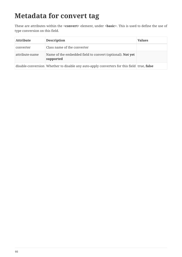#### **Metadata for convert tag**

These are attributes within the **<convert>** element, under **<basic>**. This is used to define the use of type conversion on this field.

| <b>Attribute</b> | <b>Description</b>                                                                         | <b>Values</b> |
|------------------|--------------------------------------------------------------------------------------------|---------------|
| converter        | Class name of the converter                                                                |               |
| attribute-name   | Name of the embedded field to convert (optional). Not yet<br>supported                     |               |
|                  | disable-conversion Whether to disable any auto-apply converters for this field true, false |               |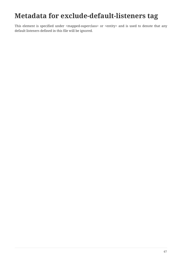#### **Metadata for exclude-default-listeners tag**

This element is specified under <mapped-superclass> or <entity> and is used to denote that any default listeners defined in this file will be ignored.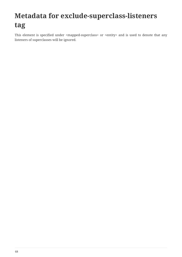# **Metadata for exclude-superclass-listeners tag**

This element is specified under <mapped-superclass> or <entity> and is used to denote that any listeners of superclasses will be ignored.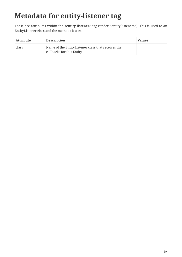# **Metadata for entity-listener tag**

These are attributes within the **<entity-listener>** tag (under <entity-listeners>). This is used to an EntityListener class and the methods it uses

| <b>Attribute</b> | <b>Description</b>                                                              | <b>Values</b> |
|------------------|---------------------------------------------------------------------------------|---------------|
| class            | Name of the EntityListener class that receives the<br>callbacks for this Entity |               |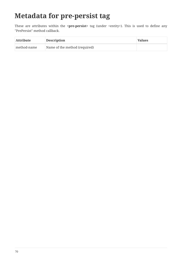## **Metadata for pre-persist tag**

These are attributes within the **<pre-persist>** tag (under <entity>). This is used to define any "PrePersist" method callback.

| <b>Attribute</b>   | <b>Description</b>            | <b>Values</b> |
|--------------------|-------------------------------|---------------|
| $\mid$ method-name | Name of the method (required) |               |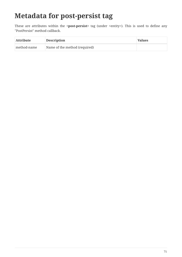## **Metadata for post-persist tag**

These are attributes within the **<post-persist>** tag (under <entity>). This is used to define any "PostPersist" method callback.

| <b>Attribute</b> | <b>Description</b>            | <b>Values</b> |
|------------------|-------------------------------|---------------|
| method-name      | Name of the method (required) |               |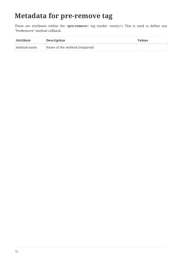#### **Metadata for pre-remove tag**

These are attributes within the **<pre-remove>** tag (under <entity>). This is used to define any "PreRemove" method callback.

| <b>Attribute</b>   | <b>Description</b>            | <b>Values</b> |
|--------------------|-------------------------------|---------------|
| $\mid$ method-name | Name of the method (required) |               |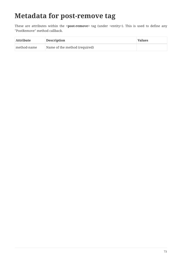#### **Metadata for post-remove tag**

These are attributes within the <post-remove> tag (under <entity>). This is used to define any "PostRemove" method callback.

| <b>Attribute</b> | <b>Description</b>            | <b>Values</b> |
|------------------|-------------------------------|---------------|
| method-name      | Name of the method (required) |               |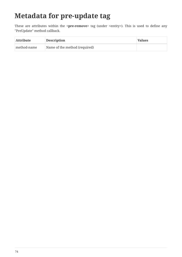## **Metadata for pre-update tag**

These are attributes within the **<pre-remove>** tag (under <entity>). This is used to define any "PreUpdate" method callback.

| <b>Attribute</b> | <b>Description</b>            | <b>Values</b> |
|------------------|-------------------------------|---------------|
| method-name      | Name of the method (required) |               |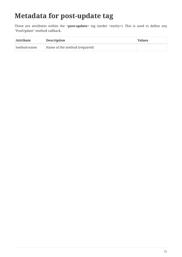## **Metadata for post-update tag**

These are attributes within the <post-update> tag (under <entity>). This is used to define any "PostUpdate" method callback.

| <b>Attribute</b> | <b>Description</b>            | <b>Values</b> |
|------------------|-------------------------------|---------------|
| method-name      | Name of the method (required) |               |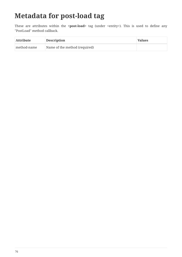# **Metadata for post-load tag**

These are attributes within the **<post-load>** tag (under <entity>). This is used to define any "PostLoad" method callback.

| <b>Attribute</b> | <b>Description</b>            | <b>Values</b> |
|------------------|-------------------------------|---------------|
| method-name      | Name of the method (required) |               |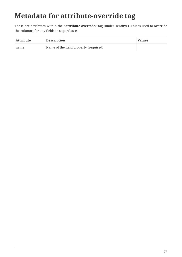# **Metadata for attribute-override tag**

These are attributes within the **<attribute-override>** tag (under <entity>). This is used to override the columns for any fields in superclasses

| <b>Attribute</b> | <b>Description</b>                    | <b>Values</b> |
|------------------|---------------------------------------|---------------|
| name             | Name of the field/property (required) |               |